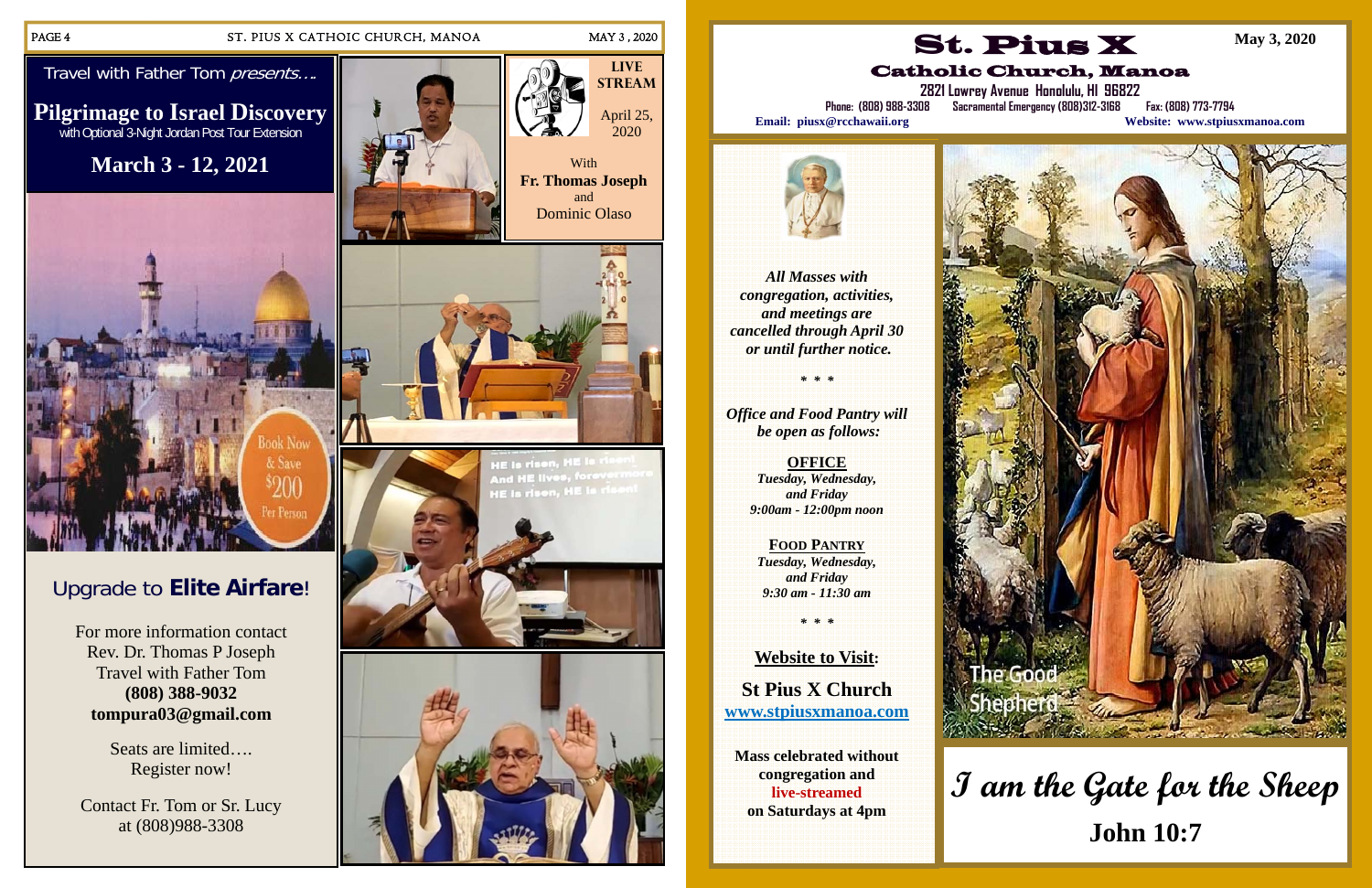#### PAGE 4 ST. PIUS X CATHOIC CHURCH, MANOA MAY 3, 2020

Travel with Father Tom presents....

# Upgrade to **Elite Airfare**!

For more information contact Rev. Dr. Thomas P Joseph Travel with Father Tom **(808) 388-9032 tompura03@gmail.com** 

> Seats are limited…. Register now!

Contact Fr. Tom or Sr. Lucy at (808)988-3308



**Pilgrimage to Israel Discovery**  with Optional 3-Night Jordan Post Tour Extension

**March 3 - 12, 2021** 









*All Masses with congregation, activities, and meetings are cancelled through April 30 or until further notice.* 

*\* \* \** 

*Office and Food Pantry will be open as follows:* 

> **OFFICE**  *Tuesday, Wednesday, and Friday 9:00am - 12:00pm noon*

**FOOD PANTRY** *Tuesday, Wednesday, and Friday 9:30 am - 11:30 am* 

*\* \* \** 

**Website to Visit: St Pius X Church www.stpiusxmanoa.com** 

**Mass celebrated without congregation and live-streamed on Saturdays at 4pm** 



**2821 Lowrey Avenue Honolulu, HI 96822** 

Catholic Church, Manoa **Phone: (808) 988-3308 Sacramental Emergency (808)312-3168 Fax: (808) 773-7794** 



**Email: piusx@rcchawaii.org Website: www.stpiusxmanoa.com**



**May 3, 2020** 

# **I am the Gate for the Sheep John 10:7**